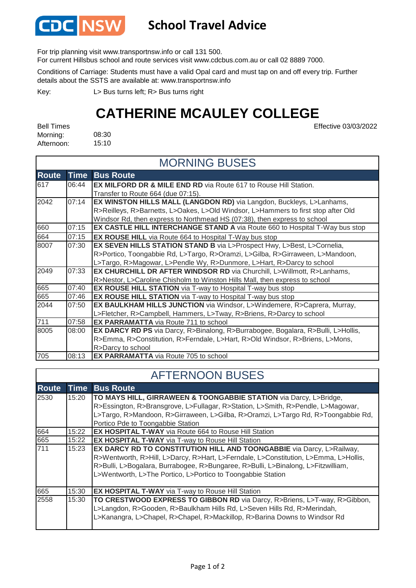

## **School Travel Advice**

For trip planning visit www.transportnsw.info or call 131 500.

For current Hillsbus school and route services visit www.cdcbus.com.au or call 02 8889 7000.

Conditions of Carriage: Students must have a valid Opal card and must tap on and off every trip. Further details about the SSTS are available at: www.transportnsw.info

L> Bus turns left; R> Bus turns right Key:

## **CATHERINE MCAULEY COLLEGE**

08:30 15:10 Bell Times Morning: Afternoon:

Effective 03/03/2022

| <b>MORNING BUSES</b> |             |                                                                                         |  |  |
|----------------------|-------------|-----------------------------------------------------------------------------------------|--|--|
| <b>Route</b>         | <b>Time</b> | <b>Bus Route</b>                                                                        |  |  |
| 617                  | 06:44       | <b>EX MILFORD DR &amp; MILE END RD</b> via Route 617 to Rouse Hill Station.             |  |  |
|                      |             | Transfer to Route 664 (due 07:15).                                                      |  |  |
| 2042                 | 07:14       | EX WINSTON HILLS MALL (LANGDON RD) via Langdon, Buckleys, L>Lanhams,                    |  |  |
|                      |             | R>Reilleys, R>Barnetts, L>Oakes, L>Old Windsor, L>Hammers to first stop after Old       |  |  |
|                      |             | Windsor Rd, then express to Northmead HS (07:38), then express to school                |  |  |
| 660                  | 07:15       | EX CASTLE HILL INTERCHANGE STAND A via Route 660 to Hospital T-Way bus stop             |  |  |
| 664                  | 07:15       | <b>EX ROUSE HILL</b> via Route 664 to Hospital T-Way bus stop                           |  |  |
| 8007                 | 07:30       | EX SEVEN HILLS STATION STAND B via L>Prospect Hwy, L>Best, L>Cornelia,                  |  |  |
|                      |             | R>Portico, Toongabbie Rd, L>Targo, R>Oramzi, L>Gilba, R>Girraween, L>Mandoon,           |  |  |
|                      |             | L>Targo, R>Magowar, L>Pendle Wy, R>Dunmore, L>Hart, R>Darcy to school                   |  |  |
| 2049                 | 07:33       | <b>EX CHURCHILL DR AFTER WINDSOR RD via Churchill, L&gt;Willmott, R&gt;Lanhams,</b>     |  |  |
|                      |             | R>Nestor, L>Caroline Chisholm to Winston Hills Mall, then express to school             |  |  |
| 665                  | 07:40       | <b>EX ROUSE HILL STATION</b> via T-way to Hospital T-way bus stop                       |  |  |
| 665                  | 07:46       | <b>EX ROUSE HILL STATION</b> via T-way to Hospital T-way bus stop                       |  |  |
| 2044                 | 07:50       | EX BAULKHAM HILLS JUNCTION via Windsor, L>Windemere, R>Caprera, Murray,                 |  |  |
|                      |             | L>Fletcher, R>Campbell, Hammers, L>Tway, R>Briens, R>Darcy to school                    |  |  |
| 711                  | 07:58       | <b>EX PARRAMATTA</b> via Route 711 to school                                            |  |  |
| 8005                 | 08:00       | <b>EX DARCY RD PS</b> via Darcy, R>Binalong, R>Burrabogee, Bogalara, R>Bulli, L>Hollis, |  |  |
|                      |             | R>Emma, R>Constitution, R>Ferndale, L>Hart, R>Old Windsor, R>Briens, L>Mons,            |  |  |
|                      |             | R>Darcy to school                                                                       |  |  |
| 705                  | 08:13       | <b>EX PARRAMATTA</b> via Route 705 to school                                            |  |  |

## AFTERNOON BUSES

| <b>Route</b> | <b>Time</b> | <b>Bus Route</b>                                                                                                                                                                                                                                                                                                       |
|--------------|-------------|------------------------------------------------------------------------------------------------------------------------------------------------------------------------------------------------------------------------------------------------------------------------------------------------------------------------|
| 2530         | 15:20       | TO MAYS HILL, GIRRAWEEN & TOONGABBIE STATION via Darcy, L>Bridge,                                                                                                                                                                                                                                                      |
|              |             | R>Essington, R>Bransgrove, L>Fullagar, R>Station, L>Smith, R>Pendle, L>Magowar,                                                                                                                                                                                                                                        |
|              |             | L>Targo, R>Mandoon, R>Girraween, L>Gilba, R>Oramzi, L>Targo Rd, R>Toongabbie Rd,                                                                                                                                                                                                                                       |
|              |             | Portico Pde to Toongabbie Station                                                                                                                                                                                                                                                                                      |
| 664          | 15:22       | <b>EX HOSPITAL T-WAY</b> via Route 664 to Rouse Hill Station                                                                                                                                                                                                                                                           |
| 665          | 15:22       | <b>EX HOSPITAL T-WAY</b> via T-way to Rouse Hill Station                                                                                                                                                                                                                                                               |
| 711          | 15:23       | <b>EX DARCY RD TO CONSTITUTION HILL AND TOONGABBIE</b> via Darcy, L>Railway,<br>R>Wentworth, R>Hill, L>Darcy, R>Hart, L>Ferndale, L>Constitution, L>Emma, L>Hollis,<br>R>Bulli, L>Bogalara, Burrabogee, R>Bungaree, R>Bulli, L>Binalong, L>Fitzwilliam,<br>L>Wentworth, L>The Portico, L>Portico to Toongabbie Station |
| 665          | 15:30       | <b>EX HOSPITAL T-WAY</b> via T-way to Rouse Hill Station                                                                                                                                                                                                                                                               |
| 2558         | 15:30       | TO CRESTWOOD EXPRESS TO GIBBON RD via Darcy, R>Briens, L>T-way, R>Gibbon,<br>L>Langdon, R>Gooden, R>Baulkham Hills Rd, L>Seven Hills Rd, R>Merindah,<br>L>Kanangra, L>Chapel, R>Chapel, R>Mackillop, R>Barina Downs to Windsor Rd                                                                                      |